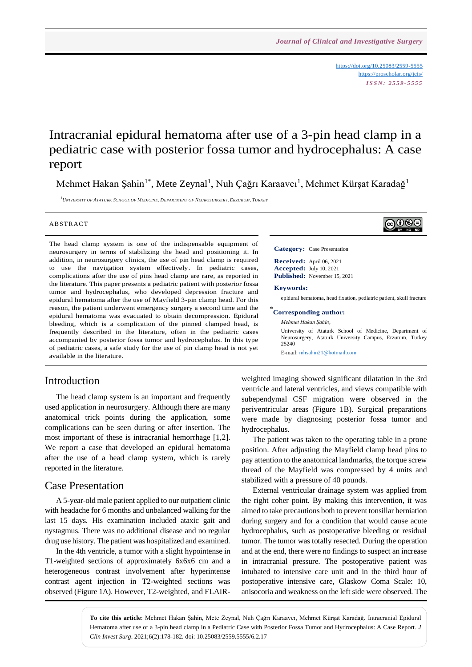<https://doi.org/10.25083/2559-5555> <https://proscholar.org/jcis/> *I S S N : 2 5 5 9 - 5 5 5 5*

# Intracranial epidural hematoma after use of a 3-pin head clamp in a pediatric case with posterior fossa tumor and hydrocephalus: A case report

Mehmet Hakan Şahin<sup>1\*</sup>, Mete Zeynal<sup>1</sup>, Nuh Çağrı Karaavcı<sup>1</sup>, Mehmet Kürşat Karadağ<sup>1</sup>

<sup>1</sup>*UNIVERSITY OF ATATURK SCHOOL OF MEDICINE, DEPARTMENT OF NEUROSURGERY, ERZURUM, TURKEY*

#### **ABSTRACT**

The head clamp system is one of the indispensable equipment of neurosurgery in terms of stabilizing the head and positioning it. In addition, in neurosurgery clinics, the use of pin head clamp is required to use the navigation system effectively. In pediatric cases, complications after the use of pins head clamp are rare, as reported in the literature. This paper presents a pediatric patient with posterior fossa tumor and hydrocephalus, who developed depression fracture and epidural hematoma after the use of Mayfield 3-pin clamp head. For this reason, the patient underwent emergency surgery a second time and the epidural hematoma was evacuated to obtain decompression. Epidural bleeding, which is a complication of the pinned clamped head, is frequently described in the literature, often in the pediatric cases accompanied by posterior fossa tumor and hydrocephalus. In this type of pediatric cases, a safe study for the use of pin clamp head is not yet available in the literature.

#### Introduction

The head clamp system is an important and frequently used application in neurosurgery. Although there are many anatomical trick points during the application, some complications can be seen during or after insertion. The most important of these is intracranial hemorrhage [1,2]. We report a case that developed an epidural hematoma after the use of a head clamp system, which is rarely reported in the literature.

#### Case Presentation

A 5-year-old male patient applied to our outpatient clinic with headache for 6 months and unbalanced walking for the last 15 days. His examination included ataxic gait and nystagmus. There was no additional disease and no regular drug use history. The patient was hospitalized and examined.

In the 4th ventricle, a tumor with a slight hypointense in T1-weighted sections of approximately 6x6x6 cm and a heterogeneous contrast involvement after hyperintense contrast agent injection in T2-weighted sections was observed (Figure 1A). However, T2-weighted, and FLAIR-

#### **Category:** Case Presentation

**Received:** April 06, 2021 **Accepted:** July 10, 2021 **Published:** November 15, 2021

#### **Keywords:**

epidural hematoma, head fixation, pediatric patient, skull fracture

#### \* **Corresponding author:**

*Mehmet Hakan Şahin,*

University of Ataturk School of Medicine, Department of Neurosurgery, Ataturk University Campus, Erzurum, Turkey 25240

E-mail: [mhsahin21@hotmail.com](mailto:mhsahin21@hotmail.com)

weighted imaging showed significant dilatation in the 3rd ventricle and lateral ventricles, and views compatible with subependymal CSF migration were observed in the periventricular areas (Figure 1B). Surgical preparations were made by diagnosing posterior fossa tumor and hydrocephalus.

The patient was taken to the operating table in a prone position. After adjusting the Mayfield clamp head pins to pay attention to the anatomical landmarks, the torque screw thread of the Mayfield was compressed by 4 units and stabilized with a pressure of 40 pounds.

External ventricular drainage system was applied from the right coher point. By making this intervention, it was aimed to take precautions both to prevent tonsillar herniation during surgery and for a condition that would cause acute hydrocephalus, such as postoperative bleeding or residual tumor. The tumor was totally resected. During the operation and at the end, there were no findings to suspect an increase in intracranial pressure. The postoperative patient was intubated to intensive care unit and in the third hour of postoperative intensive care, Glaskow Coma Scale: 10, anisocoria and weakness on the left side were observed. The

**To cite this article**: Mehmet Hakan Şahin, Mete Zeynal, Nuh Çağrı Karaavcı, Mehmet Kürşat Karadağ. Intracranial Epidural Hematoma after use of a 3-pin head clamp in a Pediatric Case with Posterior Fossa Tumor and Hydrocephalus: A Case Report. *J Clin Invest Surg*. 2021;6(2):178-182. doi: 10.25083/2559.5555/6.2.17

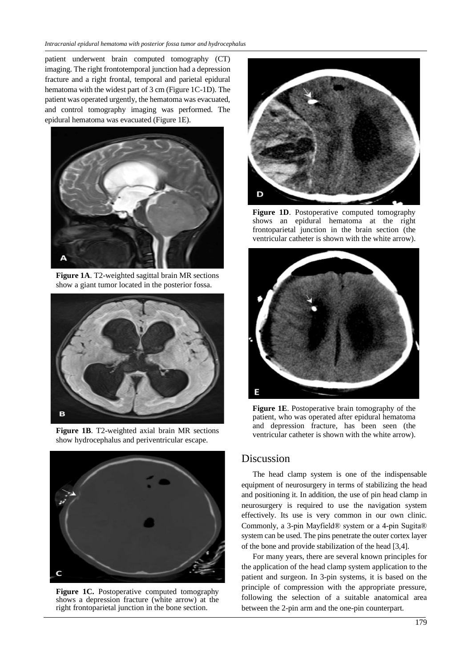patient underwent brain computed tomography (CT) imaging. The right frontotemporal junction had a depression fracture and a right frontal, temporal and parietal epidural hematoma with the widest part of 3 cm (Figure 1C-1D). The patient was operated urgently, the hematoma was evacuated, and control tomography imaging was performed. The epidural hematoma was evacuated (Figure 1E).



**Figure 1A**. T2-weighted sagittal brain MR sections show a giant tumor located in the posterior fossa.



**Figure 1B**. T2-weighted axial brain MR sections show hydrocephalus and periventricular escape.



Figure 1C. Postoperative computed tomography shows a depression fracture (white arrow) at the right frontoparietal junction in the bone section.



**Figure 1D**. Postoperative computed tomography shows an epidural hematoma at the right frontoparietal junction in the brain section (the ventricular catheter is shown with the white arrow).



**Figure 1E**. Postoperative brain tomography of the patient, who was operated after epidural hematoma and depression fracture, has been seen (the ventricular catheter is shown with the white arrow).

#### Discussion

The head clamp system is one of the indispensable equipment of neurosurgery in terms of stabilizing the head and positioning it. In addition, the use of pin head clamp in neurosurgery is required to use the navigation system effectively. Its use is very common in our own clinic. Commonly, a 3-pin Mayfield® system or a 4-pin Sugita® system can be used. The pins penetrate the outer cortex layer of the bone and provide stabilization of the head [3,4].

For many years, there are several known principles for the application of the head clamp system application to the patient and surgeon. In 3-pin systems, it is based on the principle of compression with the appropriate pressure, following the selection of a suitable anatomical area between the 2-pin arm and the one-pin counterpart.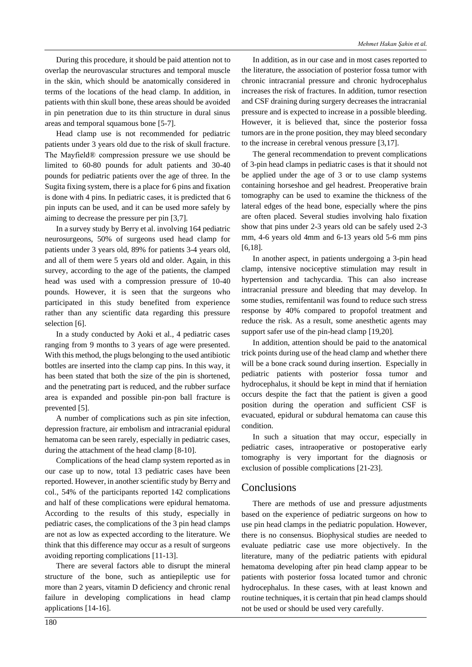During this procedure, it should be paid attention not to overlap the neurovascular structures and temporal muscle in the skin, which should be anatomically considered in terms of the locations of the head clamp. In addition, in patients with thin skull bone, these areas should be avoided in pin penetration due to its thin structure in dural sinus areas and temporal squamous bone [5-7].

Head clamp use is not recommended for pediatric patients under 3 years old due to the risk of skull fracture. The Mayfield® compression pressure we use should be limited to 60-80 pounds for adult patients and 30-40 pounds for pediatric patients over the age of three. In the Sugita fixing system, there is a place for 6 pins and fixation is done with 4 pins. In pediatric cases, it is predicted that 6 pin inputs can be used, and it can be used more safely by aiming to decrease the pressure per pin [3,7].

In a survey study by Berry et al. involving 164 pediatric neurosurgeons, 50% of surgeons used head clamp for patients under 3 years old, 89% for patients 3-4 years old, and all of them were 5 years old and older. Again, in this survey, according to the age of the patients, the clamped head was used with a compression pressure of 10-40 pounds. However, it is seen that the surgeons who participated in this study benefited from experience rather than any scientific data regarding this pressure selection [6].

In a study conducted by Aoki et al., 4 pediatric cases ranging from 9 months to 3 years of age were presented. With this method, the plugs belonging to the used antibiotic bottles are inserted into the clamp cap pins. In this way, it has been stated that both the size of the pin is shortened, and the penetrating part is reduced, and the rubber surface area is expanded and possible pin-pon ball fracture is prevented [5].

A number of complications such as pin site infection, depression fracture, air embolism and intracranial epidural hematoma can be seen rarely, especially in pediatric cases, during the attachment of the head clamp [8-10].

Complications of the head clamp system reported as in our case up to now, total 13 pediatric cases have been reported. However, in another scientific study by Berry and col., 54% of the participants reported 142 complications and half of these complications were epidural hematoma. According to the results of this study, especially in pediatric cases, the complications of the 3 pin head clamps are not as low as expected according to the literature. We think that this difference may occur as a result of surgeons avoiding reporting complications [11-13].

There are several factors able to disrupt the mineral structure of the bone, such as antiepileptic use for more than 2 years, vitamin D deficiency and chronic renal failure in developing complications in head clamp applications [14-16].

In addition, as in our case and in most cases reported to the literature, the association of posterior fossa tumor with chronic intracranial pressure and chronic hydrocephalus increases the risk of fractures. In addition, tumor resection and CSF draining during surgery decreases the intracranial pressure and is expected to increase in a possible bleeding. However, it is believed that, since the posterior fossa tumors are in the prone position, they may bleed secondary to the increase in cerebral venous pressure [3,17].

The general recommendation to prevent complications of 3-pin head clamps in pediatric cases is that it should not be applied under the age of 3 or to use clamp systems containing horseshoe and gel headrest. Preoperative brain tomography can be used to examine the thickness of the lateral edges of the head bone, especially where the pins are often placed. Several studies involving halo fixation show that pins under 2-3 years old can be safely used 2-3 mm, 4-6 years old 4mm and 6-13 years old 5-6 mm pins [6,18].

In another aspect, in patients undergoing a 3-pin head clamp, intensive nociceptive stimulation may result in hypertension and tachycardia. This can also increase intracranial pressure and bleeding that may develop. In some studies, remifentanil was found to reduce such stress response by 40% compared to propofol treatment and reduce the risk. As a result, some anesthetic agents may support safer use of the pin-head clamp [19,20].

In addition, attention should be paid to the anatomical trick points during use of the head clamp and whether there will be a bone crack sound during insertion. Especially in pediatric patients with posterior fossa tumor and hydrocephalus, it should be kept in mind that if herniation occurs despite the fact that the patient is given a good position during the operation and sufficient CSF is evacuated, epidural or subdural hematoma can cause this condition.

In such a situation that may occur, especially in pediatric cases, intraoperative or postoperative early tomography is very important for the diagnosis or exclusion of possible complications [21-23].

## **Conclusions**

There are methods of use and pressure adjustments based on the experience of pediatric surgeons on how to use pin head clamps in the pediatric population. However, there is no consensus. Biophysical studies are needed to evaluate pediatric case use more objectively. In the literature, many of the pediatric patients with epidural hematoma developing after pin head clamp appear to be patients with posterior fossa located tumor and chronic hydrocephalus. In these cases, with at least known and routine techniques, it is certain that pin head clamps should not be used or should be used very carefully.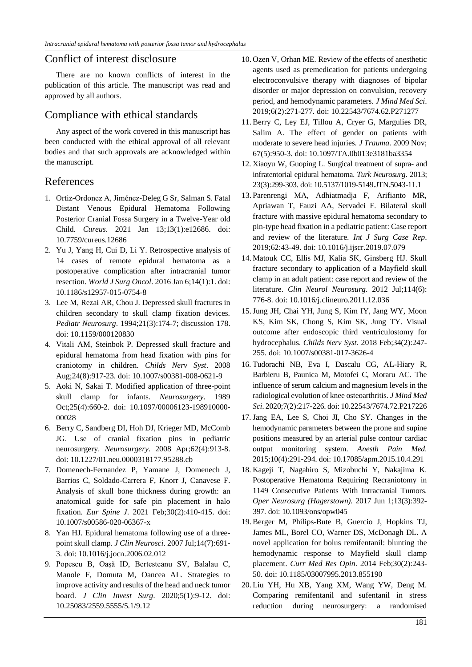### Conflict of interest disclosure

There are no known conflicts of interest in the publication of this article. The manuscript was read and approved by all authors.

### Compliance with ethical standards

Any aspect of the work covered in this manuscript has been conducted with the ethical approval of all relevant bodies and that such approvals are acknowledged within the manuscript.

### References

- 1. Ortiz-Ordonez A, Jiménez-Deleg G Sr, Salman S. Fatal Distant Venous Epidural Hematoma Following Posterior Cranial Fossa Surgery in a Twelve-Year old Child. *Cureus*. 2021 Jan 13;13(1):e12686. doi: 10.7759/cureus.12686
- 2. Yu J, Yang H, Cui D, Li Y. Retrospective analysis of 14 cases of remote epidural hematoma as a postoperative complication after intracranial tumor resection. *World J Surg Oncol*. 2016 Jan 6;14(1):1. doi: 10.1186/s12957-015-0754-8
- 3. Lee M, Rezai AR, Chou J. Depressed skull fractures in children secondary to skull clamp fixation devices. *Pediatr Neurosurg*. 1994;21(3):174-7; discussion 178. doi: 10.1159/000120830
- 4. Vitali AM, Steinbok P. Depressed skull fracture and epidural hematoma from head fixation with pins for craniotomy in children. *Childs Nerv Syst*. 2008 Aug;24(8):917-23. doi: 10.1007/s00381-008-0621-9
- 5. Aoki N, Sakai T. Modified application of three-point skull clamp for infants. *Neurosurgery*. 1989 Oct;25(4):660-2. doi: 10.1097/00006123-198910000- 00028
- 6. Berry C, Sandberg DI, Hoh DJ, Krieger MD, McComb JG. Use of cranial fixation pins in pediatric neurosurgery. *Neurosurgery*. 2008 Apr;62(4):913-8. doi: 10.1227/01.neu.0000318177.95288.cb
- 7. Domenech-Fernandez P, Yamane J, Domenech J, Barrios C, Soldado-Carrera F, Knorr J, Canavese F. Analysis of skull bone thickness during growth: an anatomical guide for safe pin placement in halo fixation. *Eur Spine J*. 2021 Feb;30(2):410-415. doi: 10.1007/s00586-020-06367-x
- 8. Yan HJ. Epidural hematoma following use of a threepoint skull clamp. *J Clin Neurosci*. 2007 Jul;14(7):691- 3. doi: 10.1016/j.jocn.2006.02.012
- 9. Popescu B, Oașă ID, Bertesteanu SV, Balalau C, Manole F, Domuta M, Oancea AL. Strategies to improve activity and results of the head and neck tumor board. *J Clin Invest Surg*. 2020;5(1):9-12. doi: 10.25083/2559.5555/5.1/9.12
- 10. Ozen V, Orhan ME. Review of the effects of anesthetic agents used as premedication for patients undergoing electroconvulsive therapy with diagnoses of bipolar disorder or major depression on convulsion, recovery period, and hemodynamic parameters. *J Mind Med Sci*. 2019;6(2):271-277. doi: 10.22543/7674.62.P271277
- 11. Berry C, Ley EJ, Tillou A, Cryer G, Margulies DR, Salim A. The effect of gender on patients with moderate to severe head injuries. *J Trauma*. 2009 Nov; 67(5):950-3. doi: 10.1097/TA.0b013e3181ba3354
- 12. Xiaoyu W, Guoping L. Surgical treatment of supra- and infratentorial epidural hematoma. *Turk Neurosurg*. 2013; 23(3):299-303. doi: 10.5137/1019-5149.JTN.5043-11.1
- 13.Parenrengi MA, Adhiatmadja F, Arifianto MR, Apriawan T, Fauzi AA, Servadei F. Bilateral skull fracture with massive epidural hematoma secondary to pin-type head fixation in a pediatric patient: Case report and review of the literature. *Int J Surg Case Rep*. 2019;62:43-49. doi: 10.1016/j.ijscr.2019.07.079
- 14. Matouk CC, Ellis MJ, Kalia SK, Ginsberg HJ. Skull fracture secondary to application of a Mayfield skull clamp in an adult patient: case report and review of the literature. *Clin Neurol Neurosurg*. 2012 Jul;114(6): 776-8. doi: 10.1016/j.clineuro.2011.12.036
- 15.Jung JH, Chai YH, Jung S, Kim IY, Jang WY, Moon KS, Kim SK, Chong S, Kim SK, Jung TY. Visual outcome after endoscopic third ventriculostomy for hydrocephalus. *Childs Nerv Syst*. 2018 Feb;34(2):247- 255. doi: 10.1007/s00381-017-3626-4
- 16. Tudorachi NB, Eva I, Dascalu CG, AL-Hiary R, Barbieru B, Paunica M, Motofei C, Moraru AC. The influence of serum calcium and magnesium levels in the radiological evolution of knee osteoarthritis. *J Mind Med Sci*. 2020;7(2):217-226. doi: 10.22543/7674.72.P217226
- 17. Jang EA, Lee S, Choi JI, Cho SY. Changes in the hemodynamic parameters between the prone and supine positions measured by an arterial pulse contour cardiac output monitoring system. *Anesth Pain Med*. 2015;10(4):291-294. doi: 10.17085/apm.2015.10.4.291
- 18. Kageji T, Nagahiro S, Mizobuchi Y, Nakajima K. Postoperative Hematoma Requiring Recraniotomy in 1149 Consecutive Patients With Intracranial Tumors. *Oper Neurosurg (Hagerstown).* 2017 Jun 1;13(3):392- 397. doi: 10.1093/ons/opw045
- 19. Berger M, Philips-Bute B, Guercio J, Hopkins TJ, James ML, Borel CO, Warner DS, McDonagh DL. A novel application for bolus remifentanil: blunting the hemodynamic response to Mayfield skull clamp placement. *Curr Med Res Opin*. 2014 Feb;30(2):243- 50. doi: 10.1185/03007995.2013.855190
- 20. Liu YH, Hu XB, Yang XM, Wang YW, Deng M. Comparing remifentanil and sufentanil in stress reduction during neurosurgery: a randomised